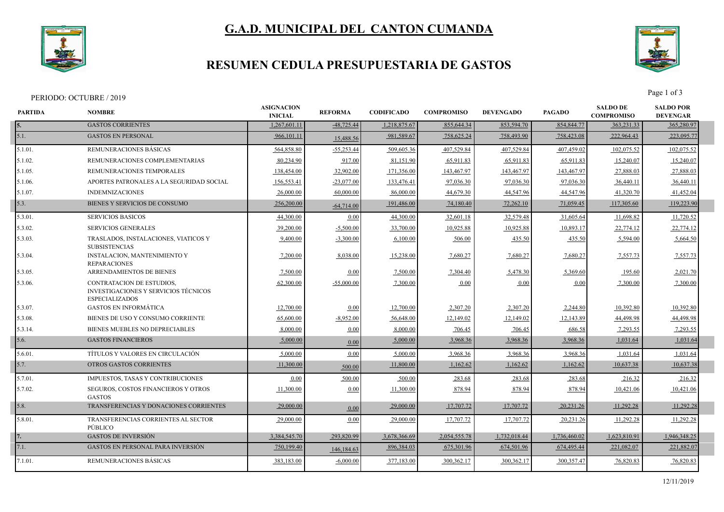

# **G.A.D. MUNICIPAL DEL CANTON CUMANDA**

### **RESUMEN CEDULA PRESUPUESTARIA DE GASTOS**



Page 1 of 3<br>Page 1 of 3

| PARTIDA | <b>NOMBRE</b>                                                                                     | <b>ASIGNACION</b><br><b>INICIAL</b> | <b>REFORMA</b> | <b>CODIFICADO</b> | <b>COMPROMISO</b> | <b>DEVENGADO</b> | <b>PAGADO</b> | <b>SALDO DE</b><br><b>COMPROMISO</b> | <b>SALDO POR</b><br><b>DEVENGAR</b> |  |
|---------|---------------------------------------------------------------------------------------------------|-------------------------------------|----------------|-------------------|-------------------|------------------|---------------|--------------------------------------|-------------------------------------|--|
| 5.      | <b>GASTOS CORRIENTES</b>                                                                          | 1,267,601.11                        | $-48,725.44$   | 1,218,875.67      | 855,644.34        | 853,594.70       | 854,844.77    | 363,231.33                           | 365,280.97                          |  |
| 5.1.    | <b>GASTOS EN PERSONAL</b>                                                                         | 966,101.11                          | 15,488.56      | 981,589.67        | 758,625.24        | 758,493.90       | 758,423.08    | 222,964.43                           | 223,095.77                          |  |
| 5.1.01. | REMUNERACIONES BÁSICAS                                                                            | 564,858.80                          | $-55,253.44$   | 509,605.36        | 407,529.84        | 407,529.84       | 407,459.02    | 102,075.52                           | 102,075.52                          |  |
| 5.1.02  | REMUNERACIONES COMPLEMENTARIAS                                                                    | 80,234.90                           | 917.00         | 81,151.90         | 65,911.83         | 65,911.83        | 65,911.83     | 15,240.07                            | 15,240.07                           |  |
| 5.1.05. | REMUNERACIONES TEMPORALES                                                                         | 138,454.00                          | 32,902.00      | 171,356.00        | 143,467.97        | 143,467.97       | 143,467.97    | 27,888.03                            | 27,888.03                           |  |
| 5.1.06. | APORTES PATRONALES A LA SEGURIDAD SOCIAL                                                          | 156,553.41                          | $-23,077.00$   | 133,476.41        | 97,036.30         | 97,036.30        | 97,036.30     | 36,440.11                            | 36,440.11                           |  |
| 5.1.07. | <b>INDEMNIZACIONES</b>                                                                            | 26,000.00                           | 60,000.00      | 86,000.00         | 44,679.30         | 44,547.96        | 44,547.96     | 41,320.70                            | 41,452.04                           |  |
| 5.3.    | BIENES Y SERVICIOS DE CONSUMO                                                                     | 256,200.00                          | $-64,714.00$   | 191,486.00        | 74,180.40         | 72,262.10        | 71,059.45     | 117,305.60                           | 119,223.90                          |  |
| 5.3.01. | <b>SERVICIOS BASICOS</b>                                                                          | 44,300.00                           | 0.00           | 44,300.00         | 32,601.18         | 32,579.48        | 31,605.64     | 11,698.82                            | 11,720.52                           |  |
| 5.3.02. | SERVICIOS GENERALES                                                                               | 39,200.00                           | $-5,500.00$    | 33,700.00         | 10,925.88         | 10,925.88        | 10,893.17     | 22,774.12                            | 22,774.12                           |  |
| 5.3.03. | TRASLADOS, INSTALACIONES, VIATICOS Y<br><b>SUBSISTENCIAS</b>                                      | 9,400.00                            | $-3,300.00$    | 6,100.00          | 506.00            | 435.50           | 435.50        | 5,594.00                             | 5,664.50                            |  |
| 5.3.04. | INSTALACION, MANTENIMIENTO Y<br><b>REPARACIONES</b>                                               | 7,200.00                            | 8,038.00       | 15,238.00         | 7,680.27          | 7,680.27         | 7,680.27      | 7,557.73                             | 7,557.73                            |  |
| 5.3.05  | <b>ARRENDAMIENTOS DE BIENES</b>                                                                   | 7,500.00                            | 0.00           | 7.500.00          | 7,304.40          | 5,478.30         | 5,369.60      | 195.60                               | 2,021.70                            |  |
| 5.3.06. | <b>CONTRATACION DE ESTUDIOS,</b><br>INVESTIGACIONES Y SERVICIOS TÉCNICOS<br><b>ESPECIALIZADOS</b> | 62,300.00                           | $-55,000.00$   | 7,300.00          | 0.00              | $0.00\,$         | 0.00          | 7,300.00                             | 7,300.00                            |  |
| 5.3.07. | <b>GASTOS EN INFORMÁTICA</b>                                                                      | 12,700.00                           | 0.00           | 12,700.00         | 2,307.20          | 2,307.20         | 2,244.80      | 10,392.80                            | 10,392.80                           |  |
| 5.3.08. | BIENES DE USO Y CONSUMO CORRIENTE                                                                 | 65,600.00                           | $-8,952.00$    | 56,648.00         | 12,149.02         | 12,149.02        | 12,143.89     | 44,498.98                            | 44,498.98                           |  |
| 5.3.14. | BIENES MUEBLES NO DEPRECIABLES                                                                    | 8,000.00                            | 0.00           | 8,000.00          | 706.45            | 706.45           | 686.58        | 7,293.55                             | 7,293.55                            |  |
| 5.6.    | <b>GASTOS FINANCIEROS</b>                                                                         | 5,000.00                            | 0.00           | 5,000.00          | 3,968.36          | 3,968.36         | 3,968.36      | 1,031.64                             | 1,031.64                            |  |
| 5.6.01. | TÍTULOS Y VALORES EN CIRCULACIÓN                                                                  | 5,000.00                            | 0.00           | 5,000.00          | 3,968.36          | 3,968.36         | 3,968.36      | 1,031.64                             | 1,031.64                            |  |
| 5.7.    | <b>OTROS GASTOS CORRIENTES</b>                                                                    | 11,300.00                           | 500.00         | 11,800.00         | 1,162.62          | 1,162.62         | 1,162.62      | 10,637.38                            | 10,637.38                           |  |
| 5.7.01. | IMPUESTOS, TASAS Y CONTRIBUCIONES                                                                 | 0.00                                | 500.00         | 500.00            | 283.68            | 283.68           | 283.68        | 216.32                               | 216.32                              |  |
| 5.7.02. | <b>SEGUROS, COSTOS FINANCIEROS Y OTROS</b><br><b>GASTOS</b>                                       | 11,300.00                           | 0.00           | 11,300.00         | 878.94            | 878.94           | 878.94        | 10,421.06                            | 10,421.06                           |  |
| 5.8.    | TRANSFERENCIAS Y DONACIONES CORRIENTES                                                            | 29,000.00                           | 0.00           | 29,000.00         | 17,707.72         | 17,707.72        | 20,231.26     | 11,292.28                            | 11,292.28                           |  |
| 5.8.01. | TRANSFERENCIAS CORRIENTES AL SECTOR<br>PÚBLICO                                                    | 29,000.00                           | 0.00           | 29,000.00         | 17,707.72         | 17,707.72        | 20,231.26     | 11,292.28                            | 11,292.28                           |  |
|         | <b>GASTOS DE INVERSIÓN</b>                                                                        | 3,384,545.70                        | 293,820.99     | 3,678,366.69      | 2,054,555.78      | 1,732,018.44     | 1,736,460.02  | 1,623,810.91                         | 1,946,348.25                        |  |
| 7.1.    | <b>GASTOS EN PERSONAL PARA INVERSIÓN</b>                                                          | 750,199.40                          | 146,184.63     | 896,384.03        | 675,301.96        | 674,501.96       | 674,495.44    | 221,082.07                           | 221,882.07                          |  |
| 7.1.01. | REMUNERACIONES BÁSICAS                                                                            | 383,183.00                          | $-6,000.00$    | 377,183.00        | 300, 362.17       | 300, 362.17      | 300,357.47    | 76,820.83                            | 76,820.83                           |  |
|         |                                                                                                   |                                     |                |                   |                   |                  |               |                                      |                                     |  |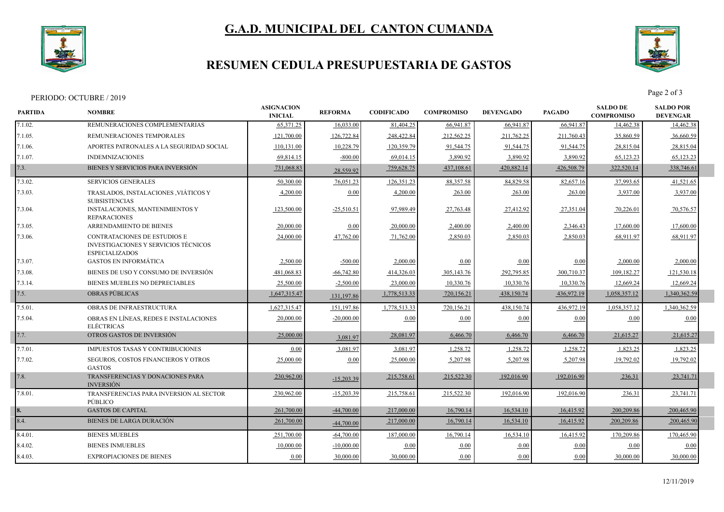

## **G.A.D. MUNICIPAL DEL CANTON CUMANDA**

# **RESUMEN CEDULA PRESUPUESTARIA DE GASTOS**



|                | PERIODO: OCTUBRE / 2019                                                                       |                                     |                |                   |                   |                  |               |                                      | Page 2 of 3                         |  |
|----------------|-----------------------------------------------------------------------------------------------|-------------------------------------|----------------|-------------------|-------------------|------------------|---------------|--------------------------------------|-------------------------------------|--|
| <b>PARTIDA</b> | <b>NOMBRE</b>                                                                                 | <b>ASIGNACION</b><br><b>INICIAL</b> | <b>REFORMA</b> | <b>CODIFICADO</b> | <b>COMPROMISO</b> | <b>DEVENGADO</b> | <b>PAGADO</b> | <b>SALDO DE</b><br><b>COMPROMISO</b> | <b>SALDO POR</b><br><b>DEVENGAR</b> |  |
| 7.1.02.        | REMUNERACIONES COMPLEMENTARIAS                                                                | 65,371.25                           | 16.033.00      | 81,404.25         | 66,941.87         | 66,941.87        | 66.941.87     | 14,462.38                            | 14,462.38                           |  |
| 7.1.05.        | REMUNERACIONES TEMPORALES                                                                     | 121,700.00                          | 126,722.84     | 248,422.84        | 212,562.25        | 211,762.25       | 211,760.43    | 35,860.59                            | 36,660.59                           |  |
| $7.1.06$ .     | APORTES PATRONALES A LA SEGURIDAD SOCIAL                                                      | 110,131.00                          | 10,228.79      | 120,359.79        | 91,544.75         | 91,544.75        | 91,544.75     | 28,815.04                            | 28,815.04                           |  |
| 7.1.07.        | <b>INDEMNIZACIONES</b>                                                                        | 69,814.15                           | $-800.00$      | 69,014.15         | 3,890.92          | 3,890.92         | 3,890.92      | 65,123.23                            | 65,123.23                           |  |
| 7.3.           | BIENES Y SERVICIOS PARA INVERSIÓN                                                             | 731,068.83                          | 28,559.92      | 759,628.75        | 437,108.61        | 420,882.14       | 426,508.79    | 322,520.14                           | 338,746.61                          |  |
| 7.3.02.        | <b>SERVICIOS GENERALES</b>                                                                    | 50,300.00                           | 76,051.23      | 126,351.23        | 88,357.58         | 84,829.58        | 82,657.16     | 37,993.65                            | 41,521.65                           |  |
| 7.3.03.        | TRASLADOS, INSTALACIONES , VIÁTICOS Y<br><b>SUBSISTENCIAS</b>                                 | 4,200.00                            | 0.00           | 4,200.00          | 263.00            | 263.00           | 263.00        | 3,937.00                             | 3,937.00                            |  |
| 7.3.04.        | <b>INSTALACIONES, MANTENIMIENTOS Y</b><br><b>REPARACIONES</b>                                 | 123,500.00                          | $-25,510.51$   | 97,989.49         | 27,763.48         | 27,412.92        | 27,351.04     | 70,226.01                            | 70,576.57                           |  |
| 7.3.05.        | ARRENDAMIENTO DE BIENES                                                                       | 20,000.00                           | 0.00           | 20,000.00         | 2,400.00          | 2,400.00         | 2,346.43      | 17,600.00                            | 17,600.00                           |  |
| 7.3.06.        | CONTRATACIONES DE ESTUDIOS E<br>INVESTIGACIONES Y SERVICIOS TÉCNICOS<br><b>ESPECIALIZADOS</b> | 24,000.00                           | 47,762.00      | 71,762.00         | 2,850.03          | 2,850.03         | 2,850.03      | 68,911.97                            | 68,911.97                           |  |
| 7.3.07.        | <b>GASTOS EN INFORMÁTICA</b>                                                                  | 2,500.00                            | $-500.00$      | 2,000.00          | 0.00              | 0.00             | 0.00          | 2.000.00                             | 2,000.00                            |  |
| 7.3.08.        | BIENES DE USO Y CONSUMO DE INVERSIÓN                                                          | 481,068.83                          | $-66,742.80$   | 414,326.03        | 305, 143.76       | 292,795.85       | 300,710.37    | 109,182.27                           | 121,530.18                          |  |
| 7.3.14.        | BIENES MUEBLES NO DEPRECIABLES                                                                | 25,500.00                           | $-2,500.00$    | 23,000.00         | 10,330.76         | 10,330.76        | 10,330.76     | 12,669.24                            | 12,669.24                           |  |
| 7.5.           | <b>OBRAS PÚBLICAS</b>                                                                         | 1,647,315.47                        | 131,197.86     | 1,778,513.33      | 720,156.21        | 438,150.74       | 436,972.19    | 1,058,357.12                         | 1,340,362.59                        |  |
| 7.5.01.        | <b>OBRAS DE INFRAESTRUCTURA</b>                                                               | 1.627.315.47                        | 151,197.86     | 1,778,513.33      | 720,156.21        | 438,150.74       | 436.972.19    | 1.058.357.12                         | 1.340.362.59                        |  |
| 7.5.04.        | OBRAS EN LÍNEAS, REDES E INSTALACIONES<br><b>ELÉCTRICAS</b>                                   | 20,000.00                           | $-20,000.00$   | 0.00              | 0.00              | 0.00             | 0.00          | 0.00                                 | 0.00                                |  |
| 7.7.           | OTROS GASTOS DE INVERSIÓN                                                                     | 25,000.00                           | 3,081.97       | 28,081.97         | 6,466.70          | 6,466.70         | 6,466.70      | 21,615.27                            | 21,615.27                           |  |
| 7.7.01.        | <b>IMPUESTOS TASAS Y CONTRIBUCIONES</b>                                                       | 0.00                                | 3,081.97       | 3,081.97          | 1,258.72          | 1,258.72         | 1,258.72      | 1,823.25                             | 1,823.25                            |  |
| 7.7.02.        | <b>SEGUROS, COSTOS FINANCIEROS Y OTROS</b><br><b>GASTOS</b>                                   | 25,000.00                           | 0.00           | 25,000.00         | 5,207.98          | 5,207.98         | 5,207.98      | 19.792.02                            | 19.792.02                           |  |
| 7.8.           | TRANSFERENCIAS Y DONACIONES PARA<br><b>INVERSIÓN</b>                                          | 230,962.00                          | $-15,203.39$   | 215,758.61        | 215,522.30        | 192,016.90       | 192,016.90    | 236.31                               | 23,741.71                           |  |
| 7.8.01.        | TRANSFERENCIAS PARA INVERSION AL SECTOR<br><b>PÚBLICO</b>                                     | 230.962.00                          | $-15,203.39$   | 215,758.61        | 215,522.30        | 192,016.90       | 192,016.90    | 236.31                               | 23,741.71                           |  |
|                | <b>GASTOS DE CAPITAL</b>                                                                      | 261,700.00                          | $-44,700.00$   | 217,000.00        | 16,790.14         | 16,534.10        | 16,415.92     | 200,209.86                           | 200,465.90                          |  |
| 8.4.           | BIENES DE LARGA DURACIÓN                                                                      | 261,700.00                          | $-44,700.00$   | 217,000.00        | 16,790.14         | 16,534.10        | 16,415.92     | 200,209.86                           | 200,465.90                          |  |
| 8.4.01.        | <b>BIENES MUEBLES</b>                                                                         | 251,700.00                          | $-64,700.00$   | 187,000.00        | 16,790.14         | 16,534.10        | 16,415.92     | 170,209.86                           | 170,465.90                          |  |
| 8.4.02.        | <b>BIENES INMUEBLES</b>                                                                       | 10,000.00                           | $-10,000.00$   | 0.00              | 0.00              | 0.00             | 0.00          | 0.00                                 | 0.00                                |  |
| 8.4.03.        | <b>EXPROPIACIONES DE BIENES</b>                                                               | 0.00                                | 30,000.00      | 30,000.00         | 0.00              | 0.00             | 0.00          | 30,000.00                            | 30,000.00                           |  |